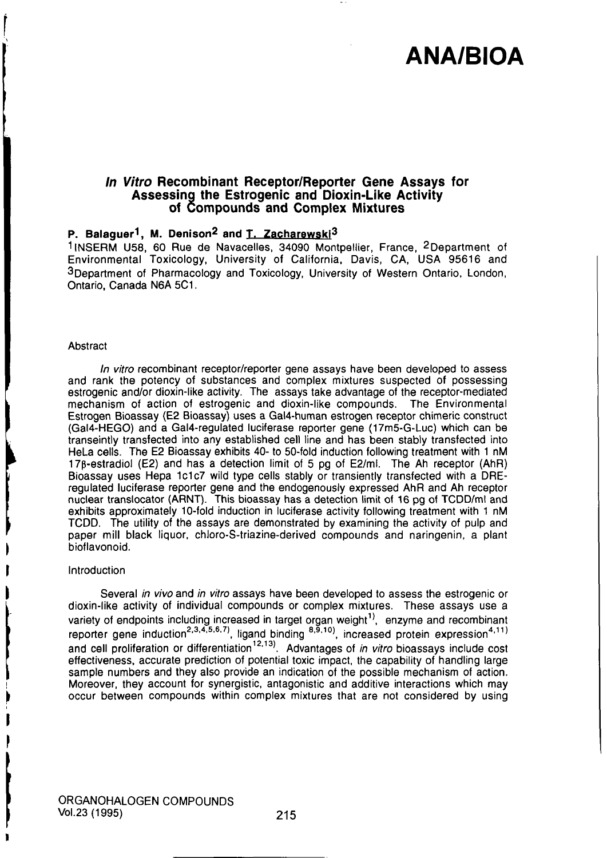### In Vitro Recombinant Receptor/Reporter Gene Assays for Assessing the Estrogenic and Dioxin-Like Activity of Compounds and Complex Mixtures

### P. Balaguer<sup>1</sup>, M. Denison<sup>2</sup> and T. Zacharewski<sup>3</sup>

11NSERM U58, 60 Rue de Navacelles, 34090 Montpellier, France, 2Department of Environmental Toxicology, University of California, Davis, CA, USA 95616 and 3Department of Pharmacology and Toxicology, University of Western Ontario, London, Ontario, Canada N6A 5C1.

#### **Abstract**

In vitro recombinant receptor/reporter gene assays have been developed to assess and rank the potency of substances and complex mixtures suspected of possessing estrogenic and/or dioxin-like activity. The assays take advantage of the receptor-mediated mechanism of action of estrogenic and dioxin-like compounds. The Environmental Estrogen Bioassay (E2 Bioassay) uses a Gal4-human estrogen receptor chimeric construct (Gal4-HEG0) and a Gal4-regulated luciferase reporter gene (17m5-G-Luc) which can be transeintly transfected into any established cell line and has been stably transfected into HeLa cells. The E2 Bioassay exhibits 40- to 50-fold induction following treatment with 1 nM 17p-estradiol (E2) and has a detection limit of 5 pg of E2/ml. The Ah receptor (AhR) Bioassay uses Hepa 1c1c7 wild type cells stably or transiently transfected with a DREregulated luciferase reporter gene and the endogenously expressed AhR and Ah receptor nuclear translocator (ARNT). This bioassay has a detection limit of 16 pg of TCDD/ml and exhibits approximately 10-fold induction in luciferase activity following treatment with 1 nM TCDD. The utility of the assays are demonstrated by examining the activity of pulp and paper mill black liquor, chloro-S-triazine-derived compounds and naringenin, a plant bioflavonoid.

#### Introduction

Several in vivo and in vitro assays have been developed to assess the estrogenic or dioxin-like activity of individual compounds or complex mixtures. These assays use a variety of endpoints including increased in target organ weight<sup>1)</sup>, enzyme and recombinant reporter gene induction<sup>2,3,4,5,6,7</sup>), ligand binding  $^{8,9,10}$ , increased protein expression<sup>4,11)</sup> and cell proliferation or differentiation<sup>12,13)</sup>. Advantages of *in vitro* bioassays include cost effectiveness, accurate prediction of potential toxic impact, the capability of handling large sample numbers and they also provide an indication of the possible mechanism of action. Moreover, they account for synergistic, antagonistic and additive interactions which may occur between compounds within complex mixtures that are not considered by using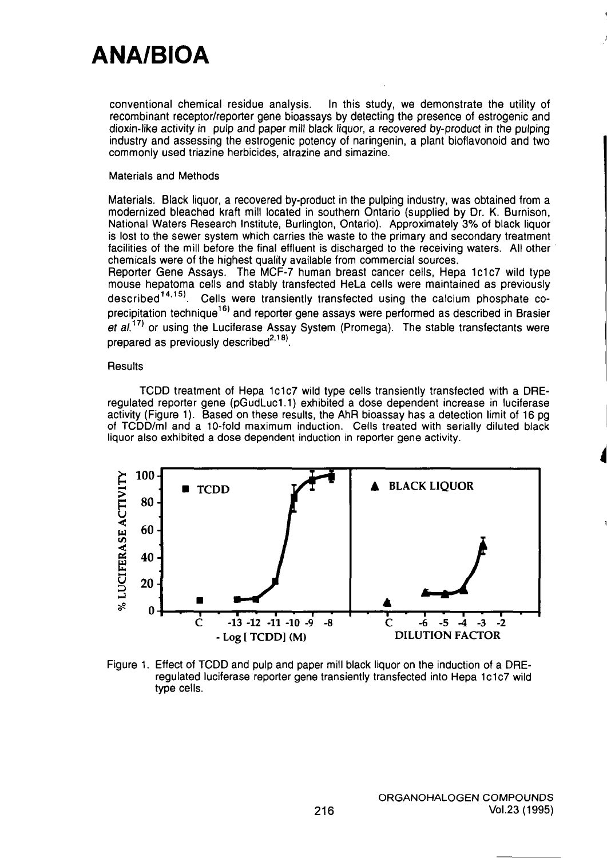conventional chemical residue analysis. In this study, we demonstrate the utility of recombinant receptor/reporter gene bioassays by detecting the presence of estrogenic and dioxin-like acfivity in pulp and paper mill black liquor, a recovered by-product in the pulping industry and assessing the estrogenic potency of naringenin, a plant bioflavonoid and two commonly used triazine herbicides, atrazine and simazine.

### Materials and Methods

Materials. Black liquor, a recovered by-product in the pulping industry, was obtained from a modernized bleached kraft mill located in southern Ontario (supplied by Dr. K. Burnison, National Waters Research Institute, Burlington, Ontario). Approximately 3% of black liquor is lost to the sewer system which carries the waste to the primary and secondary treatment facilities of the mill before the final effluent is discharged to the receiving waters. All other chemicals were of the highest quality available from commercial sources.

Reporter Gene Assays. The MCF-7 human breast cancer cells. Hepa 1c1c7 wild type mouse hepatoma cells and stably transfected HeLa cells were maintained as previously described<sup>14,15)</sup>. Cells were transiently transfected using the calcium phosphate codescribed "''. Cells were transiently transfected using the calcium phosphate coprecipitation technique<sup>197</sup> and reporter gene assays were performed as described in Brasier et  $al^{(17)}$  or using the Luciferase Assay System (Promega). The stable transfectants were prepared as previously described $^{2,18)}$ .

### **Results**

TCDD treatment of Hepa 1c1c7 wild type cells transiently transfected with a DREregulated reporter gene (pGudLuc1.1) exhibited a dose dependent increase in luciferase activity (Figure 1). Based on these results, the AhR bioassay has a detection limit of 16 pg of TCDD/ml and a 10-fold maximum induction. Cells treated with serially diluted black liquor also exhibited a dose dependent induction in reporter gene activity.



Figure 1. Effect of TCDD and pulp and paper mill black liquor on the induction of a DREregulated luciferase reporter gene transiently transfected into Hepa 1c1c7 wild type cells.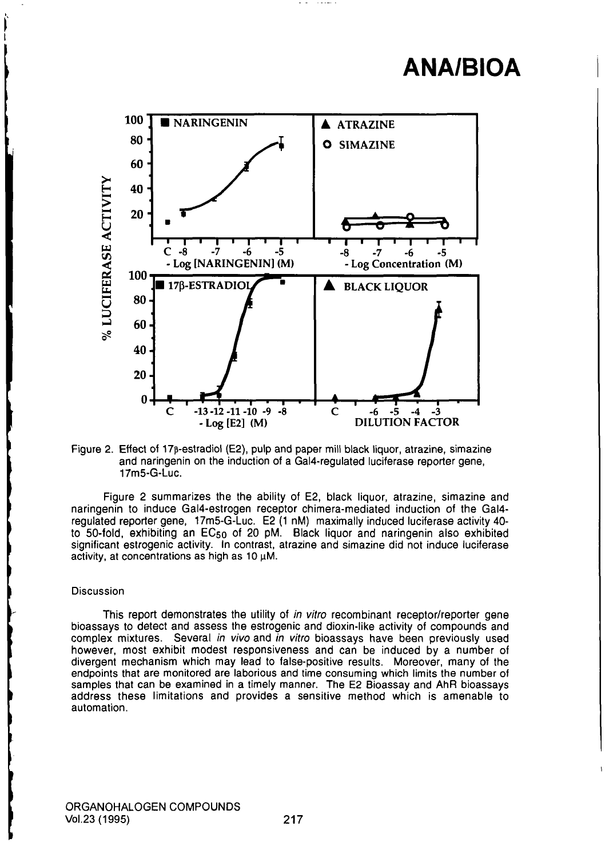

Figure 2. Effect of 17p-estradiol (E2), pulp and paper mill black liquor, atrazine, simazine and naringenin on the induction of a Gal4-regulated luciferase reporter gene, 17m5-G-Luc.

Figure 2 summarizes the the ability of E2, black liquor, atrazine, simazine and naringenin to induce Gal4-estrogen receptor chimera-mediated induction of the Gal4 regulated reporter gene, 17m5-G-Luc. E2 (1 nM) maximally induced luciferase activity 40 to 50-fold, exhibiting an EC50 of 20 pM. Black liquor and naringenin also exhibited significant estrogenic activity. In contrast, atrazine and simazine did not induce luciferase activity, at concentrations as high as  $10 \mu$ M.

#### Discussion

This report demonstrates the utility of in vitro recombinant receptor/reporter gene bioassays to detect and assess the estrogenic and dioxin-like activity of compounds and complex mixtures. Several in vivo and in vitro bioassays have been previously used however, most exhibit modest responsiveness and can be induced by a number of divergent mechanism which may lead to false-positive results. Moreover, many of the endpoints that are monitored are laborious and time consuming which limits the number of samples that can be examined in a timely manner. The E2 Bioassay and AhR bioassays address these limitations and provides a sensitive method which is amenable to automation.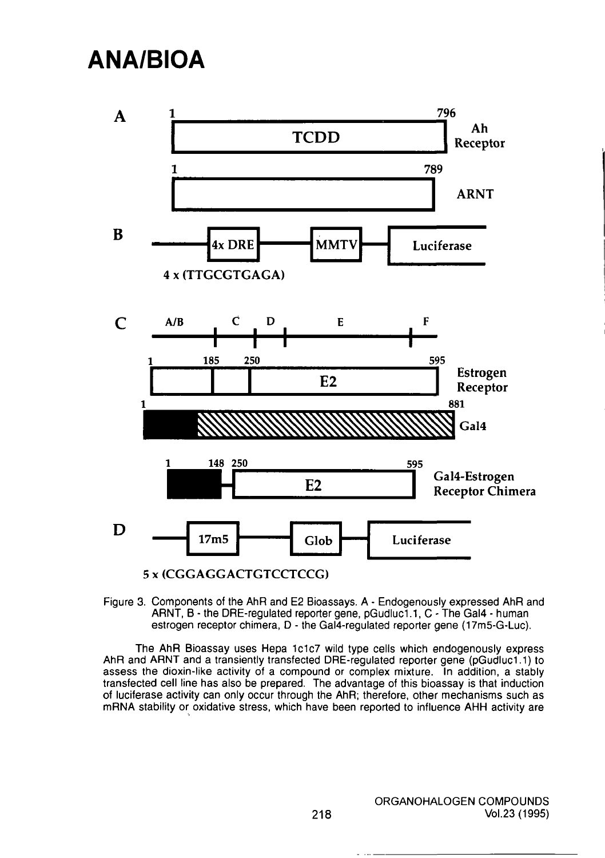

Figure 3. Components of the AhR and E2 Bioassays. A - Endogenously expressed AhR and ARNT, B - the DRE-regulated reporter gene, pGudluc1.1, C - The Gal4 - human estrogen receptor chimera, D - the Gal4-regulated reporter gene (17m5-G-Luc).

The AhR Bioassay uses Hepa 1c1c7 wild type cells which endogenously express AhR and ARNT and a transiently transfected DRE-regulated reporter gene (pGudluc1.1) to assess the dioxin-like activity of a compound or complex mixture. In addition, a stably transfected cell line has also be prepared. The advantage of this bioassay is that induction of luciferase activity can only occur through the AhR; therefore, other mechanisms such as mRNA stability or oxidative stress, which have been reported to influence AHH activity are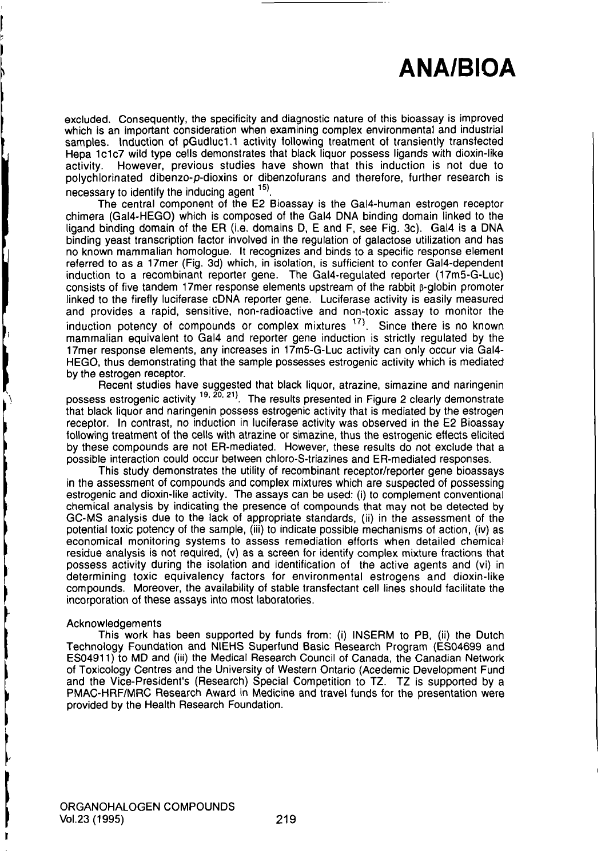excluded. Consequently, the specificity and diagnostic nature of this bioassay is improved which is an important consideration when examining complex environmental and industrial samples. Induction of pGudluc1.1 activity following treatment of transiently transfected Hepa 1c1c7 wild type cells demonstrates that black liquor possess ligands with dioxin-like activity. However, previous studies have shown that this induction is not due to polychlorinated dibenzo-p-dioxins or dibenzofurans and therefore, further research is necessary to identify the inducing agent  $15$ .

The central component of the E2 Bioassay is the Gal4-human estrogen receptor chimera (Gal4-HEG0) which is composed of the Gal4 DNA binding domain linked to the ligand binding domain of the ER (i.e. domains D, E and F, see Fig. 3c). Gal4 is a DNA binding yeast transcription factor involved in the regulation of galactose utilization and has no known mammalian homologue. It recognizes and binds to a specific response element referred to as a 17mer (Fig. 3d) which, in isolation, is sufficient to confer Gal4-dependent induction to a recombinant reporter gene. The Gal4-regulated reporter (17m5-G-Luc) consists of five tandem 17mer response elements upstream of the rabbit  $\beta$ -globin promoter linked to the firefly luciferase cDNA reporter gene. Luciferase activity is easily measured and provides a rapid, sensitive, non-radioactive and non-toxic assay to monitor the induction potency of compounds or complex mixtures  $17$ . Since there is no known mammalian equivalent to Gal4 and reporter gene induction is strictly regulated by the 17mer response elements, any increases in 17m5-G-Luc activity can only occur via Gal4- HEGO, thus demonstrating that the sample possesses estrogenic activity which is mediated by the estrogen receptor.

Recent studies have suggested that black liquor, atrazine, simazine and naringenin possess estrogenic activity <sup>19, 20, 21)</sup>. The results presented in Figure 2 clearly demonstrate that black liquor and naringenin possess estrogenic activity that is mediated by the estrogen receptor. In contrast, no induction in luciferase activity was observed in the E2 Bioassay following treatment of the cells with atrazine or simazine, thus the estrogenic effects elicited following treatment of the cells with atrazine or simazine, thus the estrogenic elicited at by these compounds are not  $E_{\text{H}}$ -mediated. However, these results do not exclude that a possible interaction could occur between chloro-S-triazines and ER-mediated responses.

This study demonstrates the utility of recombinant receptor/reporter gene bioassays in the assessment of compounds and complex mixtures which are suspected of possessing estrogenic and dioxin-like activity. The assays can be used: (i) to complement conventional chemical analysis by indicating the presence of compounds that may not be detected by GC-MS analysis due to the lack of appropriate standards, (ii) in the assessment of the potential toxic potency of the sample, (iii) to indicate possible mechanisms of action, (iv) as economical monitoring systems to assess remediation efforts when detailed chemical residue analysis is not required, (v) as a screen for identify complex mixture fractions that possess activity during the isolation and identification of the active agents and (vi) in determining toxic equivalency factors for environmental estrogens and dioxin-like compounds. Moreover, the availability of stable transfectant cell lines should facilitate the incorporation of these assays into most laboratories.

#### Acknowledgements

This work has been supported by funds from: (i) INSERM to PB, (ii) the Dutch Technology Foundation and NIEHS Superfund Basic Research Program (ES04699 and ES04911) to MD and (iii) the Medical Research Council of Canada, the Canadian Network of Toxicology Centres and the University of Western Ontario (Acedemic Development Fund and the Vice-President's (Research) Special Competition to TZ. TZ is supported by a PMAC-HRF/MRC Research Award in Medicine and travel funds for the presentation were provided by the Health Research Foundation.